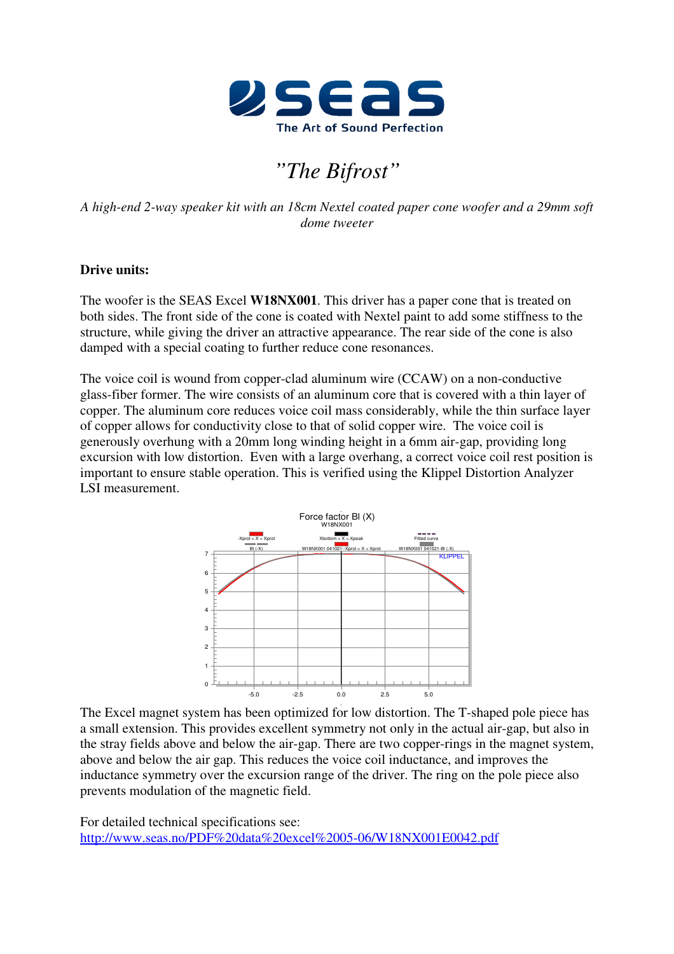

# *"The Bifrost"*

*A high-end 2-way speaker kit with an 18cm Nextel coated paper cone woofer and a 29mm soft dome tweeter* 

## **Drive units:**

The woofer is the SEAS Excel **W18NX001**. This driver has a paper cone that is treated on both sides. The front side of the cone is coated with Nextel paint to add some stiffness to the structure, while giving the driver an attractive appearance. The rear side of the cone is also damped with a special coating to further reduce cone resonances.

The voice coil is wound from copper-clad aluminum wire (CCAW) on a non-conductive glass-fiber former. The wire consists of an aluminum core that is covered with a thin layer of copper. The aluminum core reduces voice coil mass considerably, while the thin surface layer of copper allows for conductivity close to that of solid copper wire. The voice coil is generously overhung with a 20mm long winding height in a 6mm air-gap, providing long excursion with low distortion. Even with a large overhang, a correct voice coil rest position is important to ensure stable operation. This is verified using the Klippel Distortion Analyzer LSI measurement.



The Excel magnet system has been optimized for low distortion. The T-shaped pole piece has a small extension. This provides excellent symmetry not only in the actual air-gap, but also in the stray fields above and below the air-gap. There are two copper-rings in the magnet system, above and below the air gap. This reduces the voice coil inductance, and improves the inductance symmetry over the excursion range of the driver. The ring on the pole piece also prevents modulation of the magnetic field.

For detailed technical specifications see: http://www.seas.no/PDF%20data%20excel%2005-06/W18NX001E0042.pdf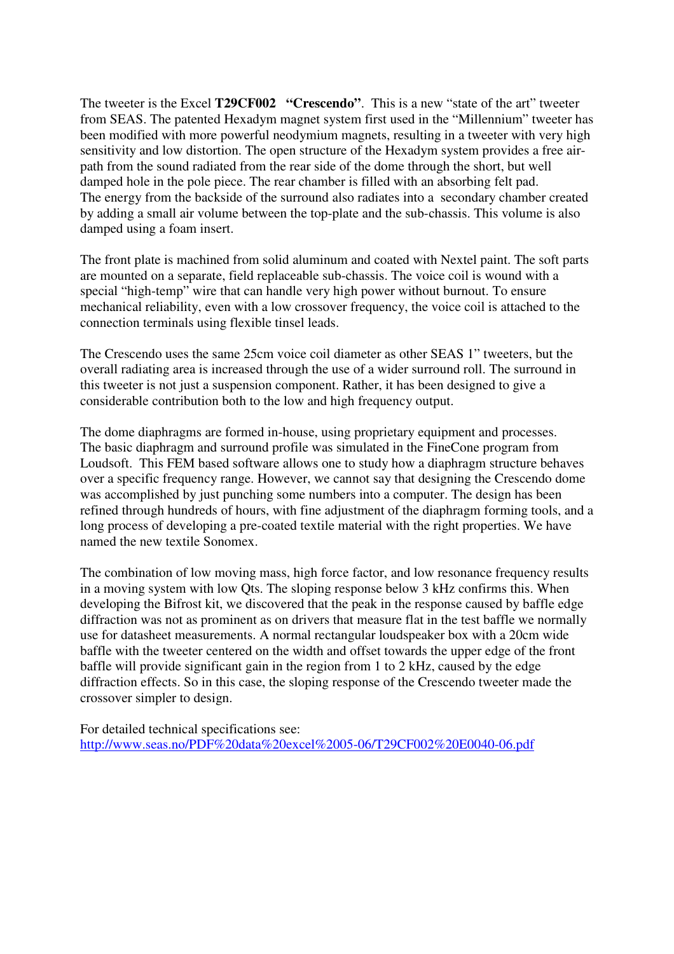The tweeter is the Excel **T29CF002 "Crescendo"**. This is a new "state of the art" tweeter from SEAS. The patented Hexadym magnet system first used in the "Millennium" tweeter has been modified with more powerful neodymium magnets, resulting in a tweeter with very high sensitivity and low distortion. The open structure of the Hexadym system provides a free airpath from the sound radiated from the rear side of the dome through the short, but well damped hole in the pole piece. The rear chamber is filled with an absorbing felt pad. The energy from the backside of the surround also radiates into a secondary chamber created by adding a small air volume between the top-plate and the sub-chassis. This volume is also damped using a foam insert.

The front plate is machined from solid aluminum and coated with Nextel paint. The soft parts are mounted on a separate, field replaceable sub-chassis. The voice coil is wound with a special "high-temp" wire that can handle very high power without burnout. To ensure mechanical reliability, even with a low crossover frequency, the voice coil is attached to the connection terminals using flexible tinsel leads.

The Crescendo uses the same 25cm voice coil diameter as other SEAS 1" tweeters, but the overall radiating area is increased through the use of a wider surround roll. The surround in this tweeter is not just a suspension component. Rather, it has been designed to give a considerable contribution both to the low and high frequency output.

The dome diaphragms are formed in-house, using proprietary equipment and processes. The basic diaphragm and surround profile was simulated in the FineCone program from Loudsoft. This FEM based software allows one to study how a diaphragm structure behaves over a specific frequency range. However, we cannot say that designing the Crescendo dome was accomplished by just punching some numbers into a computer. The design has been refined through hundreds of hours, with fine adjustment of the diaphragm forming tools, and a long process of developing a pre-coated textile material with the right properties. We have named the new textile Sonomex.

The combination of low moving mass, high force factor, and low resonance frequency results in a moving system with low Qts. The sloping response below 3 kHz confirms this. When developing the Bifrost kit, we discovered that the peak in the response caused by baffle edge diffraction was not as prominent as on drivers that measure flat in the test baffle we normally use for datasheet measurements. A normal rectangular loudspeaker box with a 20cm wide baffle with the tweeter centered on the width and offset towards the upper edge of the front baffle will provide significant gain in the region from 1 to 2 kHz, caused by the edge diffraction effects. So in this case, the sloping response of the Crescendo tweeter made the crossover simpler to design.

For detailed technical specifications see: http://www.seas.no/PDF%20data%20excel%2005-06/T29CF002%20E0040-06.pdf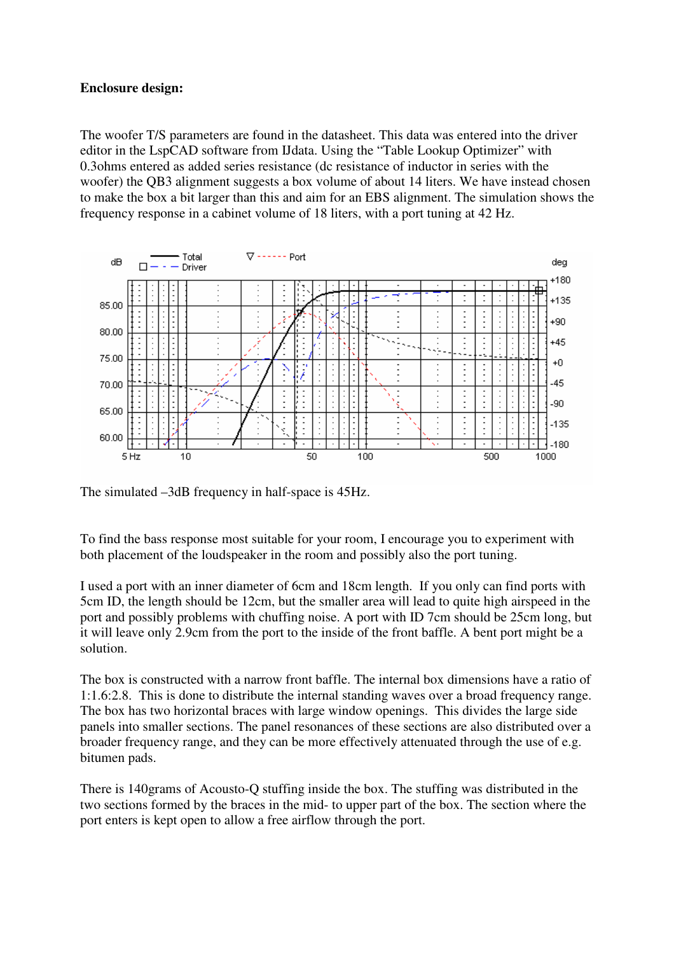## **Enclosure design:**

The woofer T/S parameters are found in the datasheet. This data was entered into the driver editor in the LspCAD software from IJdata. Using the "Table Lookup Optimizer" with 0.3ohms entered as added series resistance (dc resistance of inductor in series with the woofer) the QB3 alignment suggests a box volume of about 14 liters. We have instead chosen to make the box a bit larger than this and aim for an EBS alignment. The simulation shows the frequency response in a cabinet volume of 18 liters, with a port tuning at 42 Hz.



The simulated –3dB frequency in half-space is 45Hz.

To find the bass response most suitable for your room, I encourage you to experiment with both placement of the loudspeaker in the room and possibly also the port tuning.

I used a port with an inner diameter of 6cm and 18cm length. If you only can find ports with 5cm ID, the length should be 12cm, but the smaller area will lead to quite high airspeed in the port and possibly problems with chuffing noise. A port with ID 7cm should be 25cm long, but it will leave only 2.9cm from the port to the inside of the front baffle. A bent port might be a solution.

The box is constructed with a narrow front baffle. The internal box dimensions have a ratio of 1:1.6:2.8. This is done to distribute the internal standing waves over a broad frequency range. The box has two horizontal braces with large window openings. This divides the large side panels into smaller sections. The panel resonances of these sections are also distributed over a broader frequency range, and they can be more effectively attenuated through the use of e.g. bitumen pads.

There is 140grams of Acousto-Q stuffing inside the box. The stuffing was distributed in the two sections formed by the braces in the mid- to upper part of the box. The section where the port enters is kept open to allow a free airflow through the port.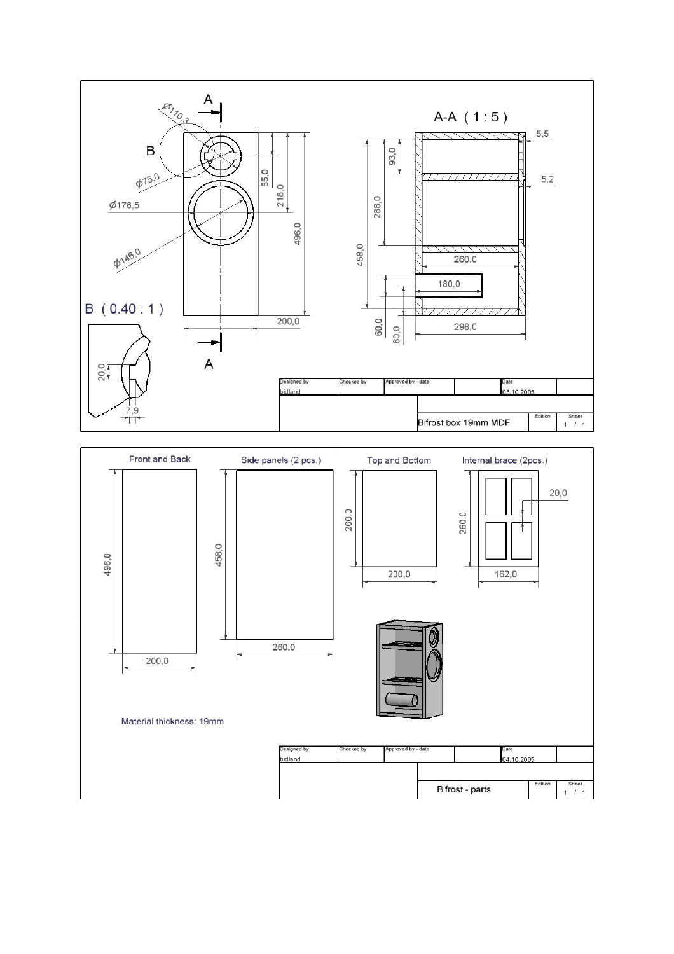

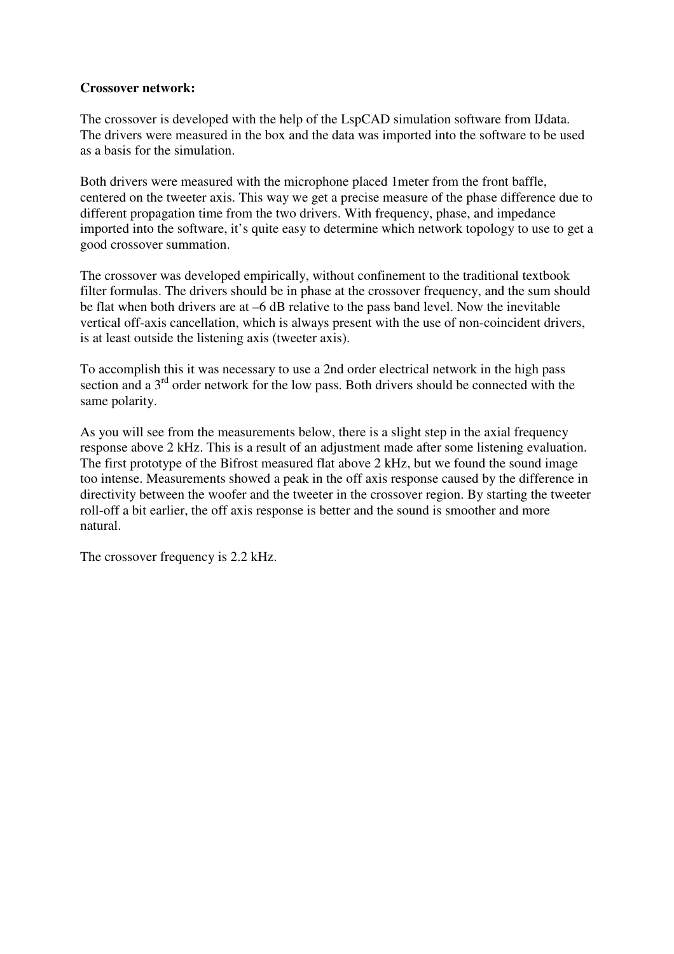### **Crossover network:**

The crossover is developed with the help of the LspCAD simulation software from IJdata. The drivers were measured in the box and the data was imported into the software to be used as a basis for the simulation.

Both drivers were measured with the microphone placed 1meter from the front baffle, centered on the tweeter axis. This way we get a precise measure of the phase difference due to different propagation time from the two drivers. With frequency, phase, and impedance imported into the software, it's quite easy to determine which network topology to use to get a good crossover summation.

The crossover was developed empirically, without confinement to the traditional textbook filter formulas. The drivers should be in phase at the crossover frequency, and the sum should be flat when both drivers are at –6 dB relative to the pass band level. Now the inevitable vertical off-axis cancellation, which is always present with the use of non-coincident drivers, is at least outside the listening axis (tweeter axis).

To accomplish this it was necessary to use a 2nd order electrical network in the high pass section and a 3<sup>rd</sup> order network for the low pass. Both drivers should be connected with the same polarity.

As you will see from the measurements below, there is a slight step in the axial frequency response above 2 kHz. This is a result of an adjustment made after some listening evaluation. The first prototype of the Bifrost measured flat above 2 kHz, but we found the sound image too intense. Measurements showed a peak in the off axis response caused by the difference in directivity between the woofer and the tweeter in the crossover region. By starting the tweeter roll-off a bit earlier, the off axis response is better and the sound is smoother and more natural.

The crossover frequency is 2.2 kHz.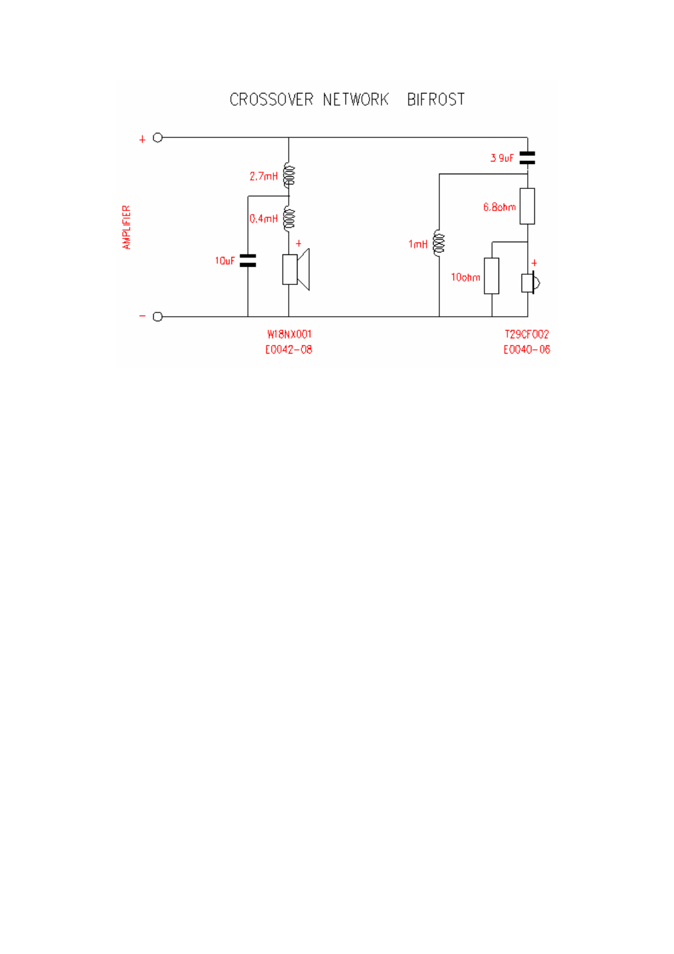CROSSOVER NETWORK BIFROST